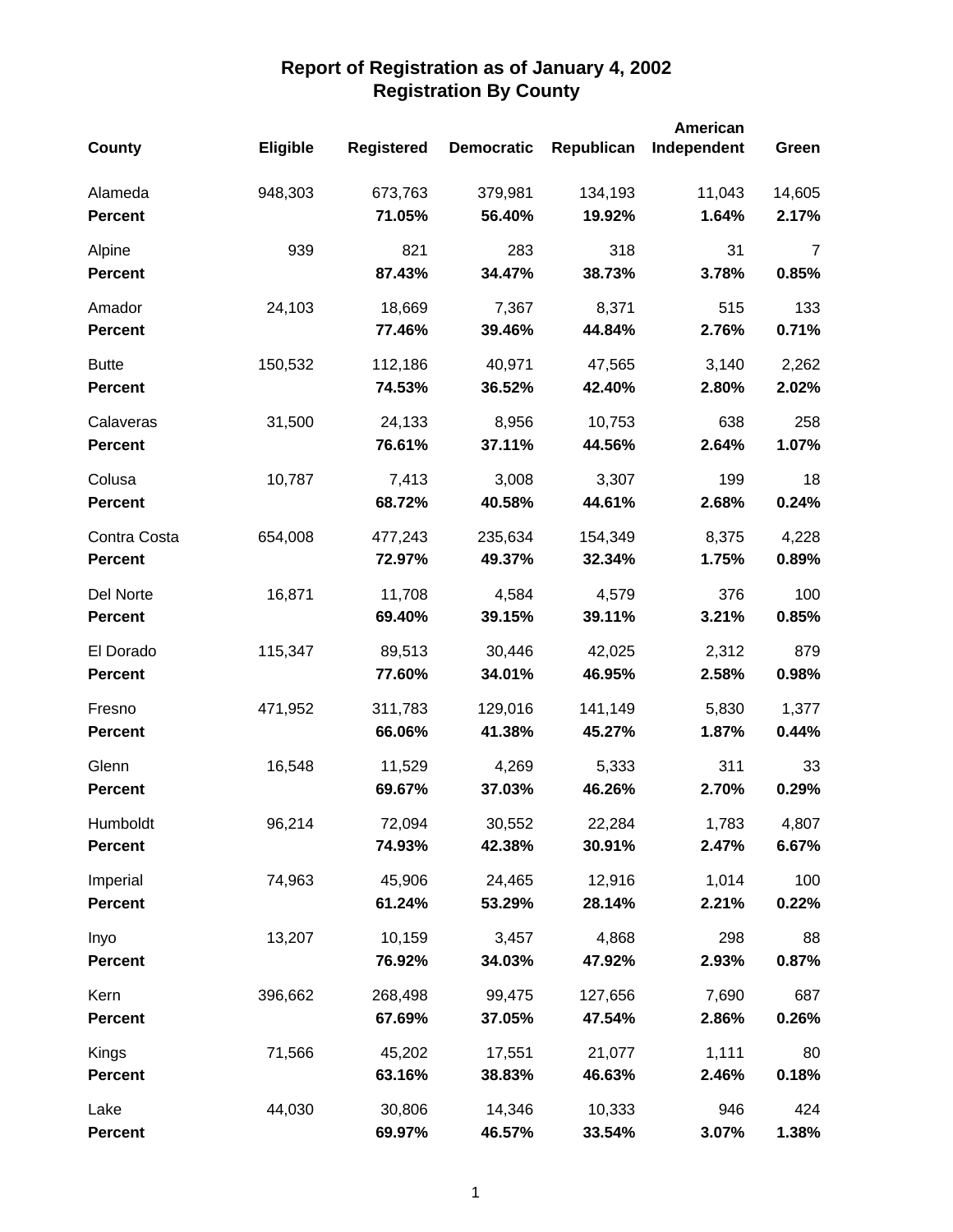|                |          |                   |                   |            | American    |        |
|----------------|----------|-------------------|-------------------|------------|-------------|--------|
| County         | Eligible | <b>Registered</b> | <b>Democratic</b> | Republican | Independent | Green  |
| Alameda        | 948,303  | 673,763           | 379,981           | 134,193    | 11,043      | 14,605 |
| <b>Percent</b> |          | 71.05%            | 56.40%            | 19.92%     | 1.64%       | 2.17%  |
| Alpine         | 939      | 821               | 283               | 318        | 31          | 7      |
| <b>Percent</b> |          | 87.43%            | 34.47%            | 38.73%     | 3.78%       | 0.85%  |
| Amador         | 24,103   | 18,669            | 7,367             | 8,371      | 515         | 133    |
| <b>Percent</b> |          | 77.46%            | 39.46%            | 44.84%     | 2.76%       | 0.71%  |
| <b>Butte</b>   | 150,532  | 112,186           | 40,971            | 47,565     | 3,140       | 2,262  |
| <b>Percent</b> |          | 74.53%            | 36.52%            | 42.40%     | 2.80%       | 2.02%  |
| Calaveras      | 31,500   | 24,133            | 8,956             | 10,753     | 638         | 258    |
| <b>Percent</b> |          | 76.61%            | 37.11%            | 44.56%     | 2.64%       | 1.07%  |
| Colusa         | 10,787   | 7,413             | 3,008             | 3,307      | 199         | 18     |
| <b>Percent</b> |          | 68.72%            | 40.58%            | 44.61%     | 2.68%       | 0.24%  |
| Contra Costa   | 654,008  | 477,243           | 235,634           | 154,349    | 8,375       | 4,228  |
| <b>Percent</b> |          | 72.97%            | 49.37%            | 32.34%     | 1.75%       | 0.89%  |
| Del Norte      | 16,871   | 11,708            | 4,584             | 4,579      | 376         | 100    |
| <b>Percent</b> |          | 69.40%            | 39.15%            | 39.11%     | 3.21%       | 0.85%  |
| El Dorado      | 115,347  | 89,513            | 30,446            | 42,025     | 2,312       | 879    |
| <b>Percent</b> |          | 77.60%            | 34.01%            | 46.95%     | 2.58%       | 0.98%  |
| Fresno         | 471,952  | 311,783           | 129,016           | 141,149    | 5,830       | 1,377  |
| <b>Percent</b> |          | 66.06%            | 41.38%            | 45.27%     | 1.87%       | 0.44%  |
| Glenn          | 16,548   | 11,529            | 4,269             | 5,333      | 311         | 33     |
| <b>Percent</b> |          | 69.67%            | 37.03%            | 46.26%     | 2.70%       | 0.29%  |
| Humboldt       | 96,214   | 72,094            | 30,552            | 22,284     | 1,783       | 4,807  |
| <b>Percent</b> |          | 74.93%            | 42.38%            | 30.91%     | 2.47%       | 6.67%  |
| Imperial       | 74,963   | 45,906            | 24,465            | 12,916     | 1,014       | 100    |
| <b>Percent</b> |          | 61.24%            | 53.29%            | 28.14%     | 2.21%       | 0.22%  |
| Inyo           | 13,207   | 10,159            | 3,457             | 4,868      | 298         | 88     |
| <b>Percent</b> |          | 76.92%            | 34.03%            | 47.92%     | 2.93%       | 0.87%  |
| Kern           | 396,662  | 268,498           | 99,475            | 127,656    | 7,690       | 687    |
| <b>Percent</b> |          | 67.69%            | 37.05%            | 47.54%     | 2.86%       | 0.26%  |
| Kings          | 71,566   | 45,202            | 17,551            | 21,077     | 1,111       | 80     |
| <b>Percent</b> |          | 63.16%            | 38.83%            | 46.63%     | 2.46%       | 0.18%  |
| Lake           | 44,030   | 30,806            | 14,346            | 10,333     | 946         | 424    |
| <b>Percent</b> |          | 69.97%            | 46.57%            | 33.54%     | 3.07%       | 1.38%  |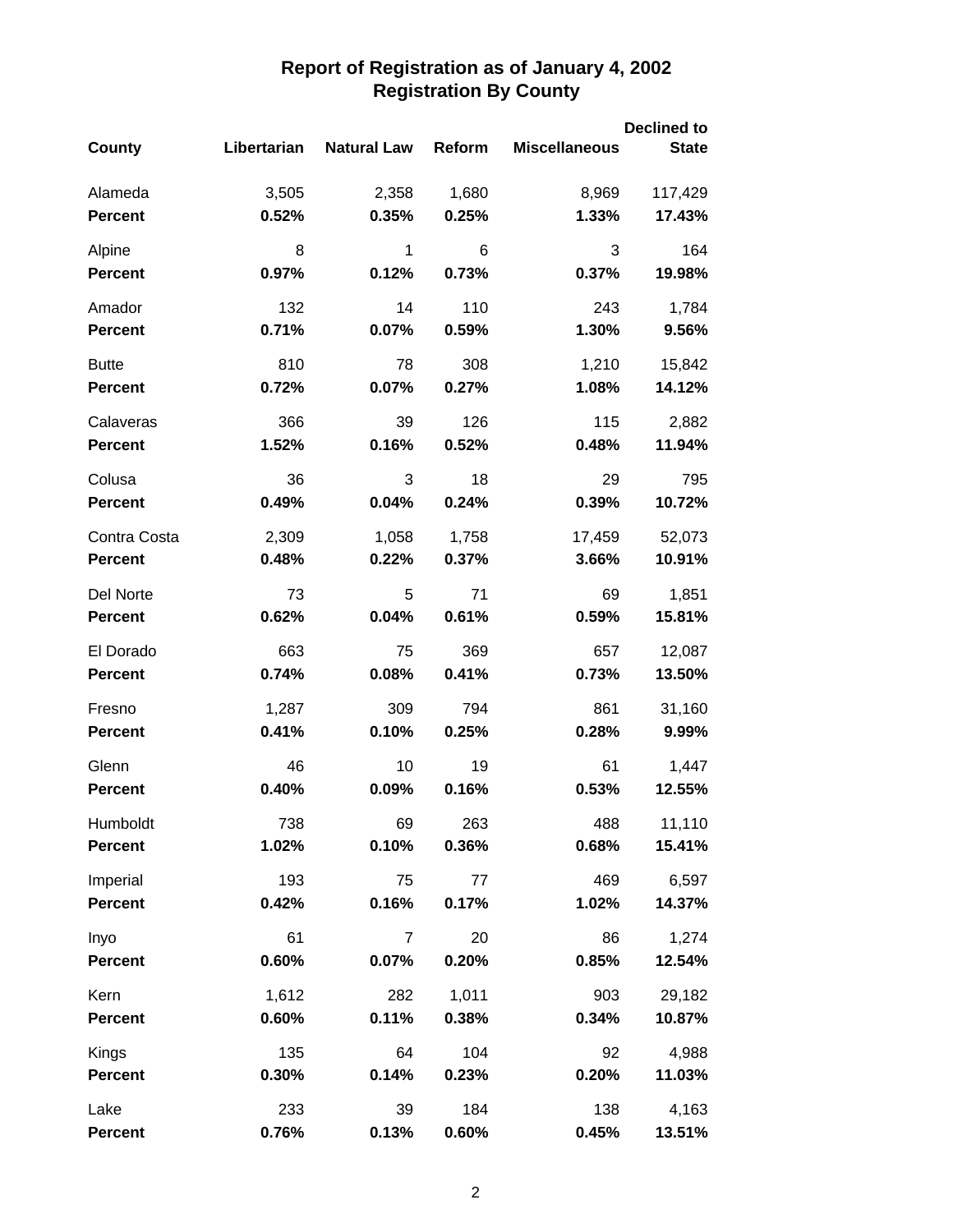|                 |              |                    | <b>Declined to</b> |                      |                 |  |
|-----------------|--------------|--------------------|--------------------|----------------------|-----------------|--|
| <b>County</b>   | Libertarian  | <b>Natural Law</b> | Reform             | <b>Miscellaneous</b> | <b>State</b>    |  |
| Alameda         | 3,505        | 2,358              | 1,680              | 8,969                | 117,429         |  |
| <b>Percent</b>  | 0.52%        | 0.35%              | 0.25%              | 1.33%                | 17.43%          |  |
| Alpine          | 8            | 1                  | 6                  | 3                    | 164             |  |
| <b>Percent</b>  | 0.97%        | 0.12%              | 0.73%              | 0.37%                | 19.98%          |  |
| Amador          | 132          | 14                 | 110                | 243                  | 1,784           |  |
| <b>Percent</b>  | 0.71%        | 0.07%              | 0.59%              | 1.30%                | 9.56%           |  |
| <b>Butte</b>    | 810          | 78                 | 308                | 1,210                | 15,842          |  |
| <b>Percent</b>  | 0.72%        | 0.07%              | 0.27%              | 1.08%                | 14.12%          |  |
| Calaveras       | 366          | 39                 | 126                | 115                  | 2,882           |  |
| <b>Percent</b>  | 1.52%        | 0.16%              | 0.52%              | 0.48%                | 11.94%          |  |
| Colusa          | 36           | 3                  | 18                 | 29                   | 795             |  |
| <b>Percent</b>  | 0.49%        | 0.04%              | 0.24%              | 0.39%                | 10.72%          |  |
| Contra Costa    | 2,309        | 1,058              | 1,758              | 17,459               | 52,073          |  |
| <b>Percent</b>  | 0.48%        | 0.22%              | 0.37%              | 3.66%                | 10.91%          |  |
| Del Norte       | 73           | 5                  | 71                 | 69                   | 1,851           |  |
| <b>Percent</b>  | 0.62%        | 0.04%              | 0.61%              | 0.59%                | 15.81%          |  |
| El Dorado       | 663          | 75                 | 369                | 657                  | 12,087          |  |
| <b>Percent</b>  | 0.74%        | 0.08%              | 0.41%              | 0.73%                | 13.50%          |  |
| Fresno          | 1,287        | 309                | 794                | 861                  | 31,160          |  |
| <b>Percent</b>  | 0.41%        | 0.10%              | 0.25%              | 0.28%                | 9.99%           |  |
| Glenn           | 46           | 10                 | 19                 | 61                   | 1,447           |  |
| <b>Percent</b>  | 0.40%        | 0.09%              | 0.16%              | 0.53%                | 12.55%          |  |
| Humboldt        | 738          | 69                 | 263                | 488                  | 11,110          |  |
| <b>Percent</b>  | 1.02%        | 0.10%              | 0.36%              | 0.68%                | 15.41%          |  |
| Imperial        | 193          | 75                 | 77                 | 469                  | 6,597           |  |
| <b>Percent</b>  | 0.42%        | 0.16%              | 0.17%              | 1.02%                | 14.37%          |  |
| Inyo            | 61           | $\overline{7}$     | 20                 | 86                   | 1,274           |  |
| <b>Percent</b>  | 0.60%        | 0.07%              | 0.20%              | 0.85%                | 12.54%          |  |
| Kern            | 1,612        | 282                | 1,011              | 903                  | 29,182          |  |
| <b>Percent</b>  | 0.60%        | 0.11%              | 0.38%              | 0.34%                | 10.87%          |  |
| Kings           | 135          | 64                 | 104                | 92                   | 4,988           |  |
| <b>Percent</b>  | 0.30%        | 0.14%              | 0.23%              | 0.20%                | 11.03%          |  |
| Lake<br>Percent | 233<br>0.76% | 39<br>0.13%        | 184<br>0.60%       | 138<br>0.45%         | 4,163<br>13.51% |  |
|                 |              |                    |                    |                      |                 |  |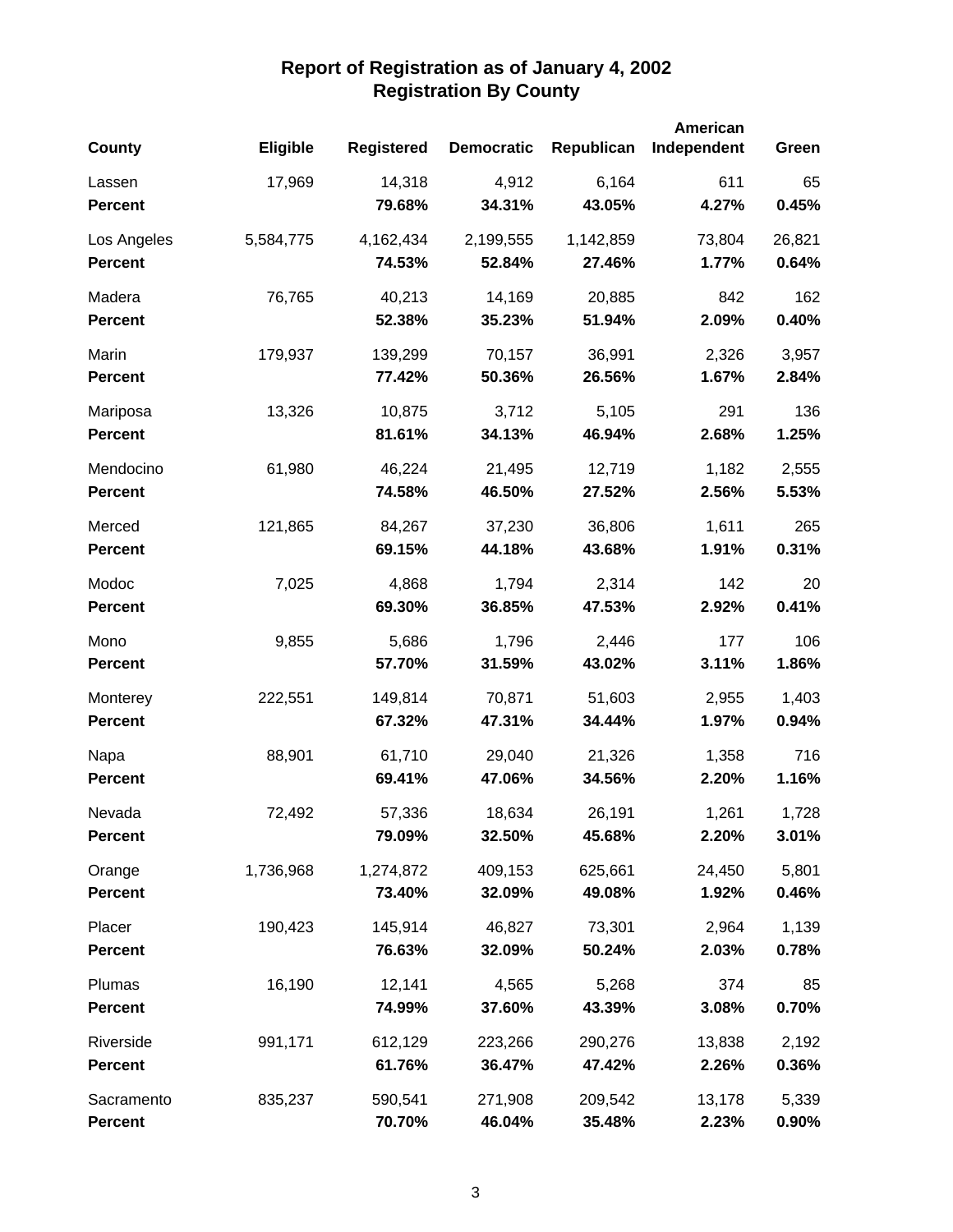|                |                 |                   |                   |            | American    |        |
|----------------|-----------------|-------------------|-------------------|------------|-------------|--------|
| County         | <b>Eligible</b> | <b>Registered</b> | <b>Democratic</b> | Republican | Independent | Green  |
| Lassen         | 17,969          | 14,318            | 4,912             | 6,164      | 611         | 65     |
| <b>Percent</b> |                 | 79.68%            | 34.31%            | 43.05%     | 4.27%       | 0.45%  |
| Los Angeles    | 5,584,775       | 4,162,434         | 2,199,555         | 1,142,859  | 73,804      | 26,821 |
| <b>Percent</b> |                 | 74.53%            | 52.84%            | 27.46%     | 1.77%       | 0.64%  |
| Madera         | 76,765          | 40,213            | 14,169            | 20,885     | 842         | 162    |
| <b>Percent</b> |                 | 52.38%            | 35.23%            | 51.94%     | 2.09%       | 0.40%  |
| Marin          | 179,937         | 139,299           | 70,157            | 36,991     | 2,326       | 3,957  |
| <b>Percent</b> |                 | 77.42%            | 50.36%            | 26.56%     | 1.67%       | 2.84%  |
| Mariposa       | 13,326          | 10,875            | 3,712             | 5,105      | 291         | 136    |
| <b>Percent</b> |                 | 81.61%            | 34.13%            | 46.94%     | 2.68%       | 1.25%  |
| Mendocino      | 61,980          | 46,224            | 21,495            | 12,719     | 1,182       | 2,555  |
| <b>Percent</b> |                 | 74.58%            | 46.50%            | 27.52%     | 2.56%       | 5.53%  |
| Merced         | 121,865         | 84,267            | 37,230            | 36,806     | 1,611       | 265    |
| <b>Percent</b> |                 | 69.15%            | 44.18%            | 43.68%     | 1.91%       | 0.31%  |
| Modoc          | 7,025           | 4,868             | 1,794             | 2,314      | 142         | 20     |
| <b>Percent</b> |                 | 69.30%            | 36.85%            | 47.53%     | 2.92%       | 0.41%  |
| Mono           | 9,855           | 5,686             | 1,796             | 2,446      | 177         | 106    |
| <b>Percent</b> |                 | 57.70%            | 31.59%            | 43.02%     | 3.11%       | 1.86%  |
| Monterey       | 222,551         | 149,814           | 70,871            | 51,603     | 2,955       | 1,403  |
| <b>Percent</b> |                 | 67.32%            | 47.31%            | 34.44%     | 1.97%       | 0.94%  |
| Napa           | 88,901          | 61,710            | 29,040            | 21,326     | 1,358       | 716    |
| <b>Percent</b> |                 | 69.41%            | 47.06%            | 34.56%     | 2.20%       | 1.16%  |
| Nevada         | 72,492          | 57,336            | 18,634            | 26,191     | 1,261       | 1,728  |
| <b>Percent</b> |                 | 79.09%            | 32.50%            | 45.68%     | 2.20%       | 3.01%  |
| Orange         | 1,736,968       | 1,274,872         | 409,153           | 625,661    | 24,450      | 5,801  |
| <b>Percent</b> |                 | 73.40%            | 32.09%            | 49.08%     | 1.92%       | 0.46%  |
| Placer         | 190,423         | 145,914           | 46,827            | 73,301     | 2,964       | 1,139  |
| <b>Percent</b> |                 | 76.63%            | 32.09%            | 50.24%     | 2.03%       | 0.78%  |
| Plumas         | 16,190          | 12,141            | 4,565             | 5,268      | 374         | 85     |
| <b>Percent</b> |                 | 74.99%            | 37.60%            | 43.39%     | 3.08%       | 0.70%  |
| Riverside      | 991,171         | 612,129           | 223,266           | 290,276    | 13,838      | 2,192  |
| <b>Percent</b> |                 | 61.76%            | 36.47%            | 47.42%     | 2.26%       | 0.36%  |
| Sacramento     | 835,237         | 590,541           | 271,908           | 209,542    | 13,178      | 5,339  |
| <b>Percent</b> |                 | 70.70%            | 46.04%            | 35.48%     | 2.23%       | 0.90%  |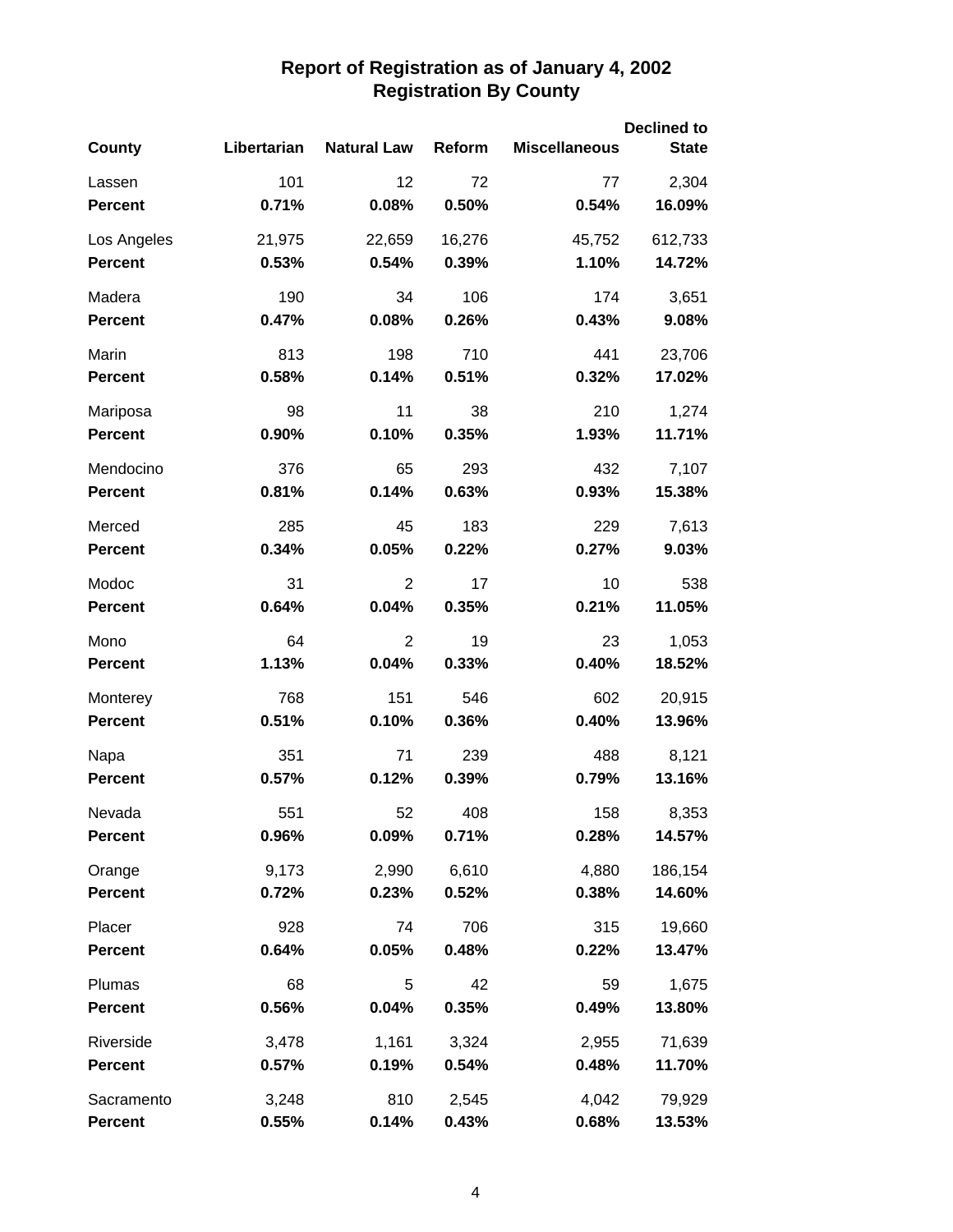|                |             |                    |        |                      | <b>Declined to</b> |  |  |
|----------------|-------------|--------------------|--------|----------------------|--------------------|--|--|
| County         | Libertarian | <b>Natural Law</b> | Reform | <b>Miscellaneous</b> | <b>State</b>       |  |  |
| Lassen         | 101         | 12                 | 72     | 77                   | 2,304              |  |  |
| <b>Percent</b> | 0.71%       | 0.08%              | 0.50%  | 0.54%                | 16.09%             |  |  |
| Los Angeles    | 21,975      | 22,659             | 16,276 | 45,752               | 612,733            |  |  |
| <b>Percent</b> | 0.53%       | 0.54%              | 0.39%  | 1.10%                | 14.72%             |  |  |
| Madera         | 190         | 34                 | 106    | 174                  | 3,651              |  |  |
| <b>Percent</b> | 0.47%       | 0.08%              | 0.26%  | 0.43%                | 9.08%              |  |  |
| Marin          | 813         | 198                | 710    | 441                  | 23,706             |  |  |
| <b>Percent</b> | 0.58%       | 0.14%              | 0.51%  | 0.32%                | 17.02%             |  |  |
| Mariposa       | 98          | 11                 | 38     | 210                  | 1,274              |  |  |
| <b>Percent</b> | 0.90%       | 0.10%              | 0.35%  | 1.93%                | 11.71%             |  |  |
| Mendocino      | 376         | 65                 | 293    | 432                  | 7,107              |  |  |
| <b>Percent</b> | 0.81%       | 0.14%              | 0.63%  | 0.93%                | 15.38%             |  |  |
| Merced         | 285         | 45                 | 183    | 229                  | 7,613              |  |  |
| <b>Percent</b> | 0.34%       | 0.05%              | 0.22%  | 0.27%                | 9.03%              |  |  |
| Modoc          | 31          | 2                  | 17     | 10                   | 538                |  |  |
| <b>Percent</b> | 0.64%       | 0.04%              | 0.35%  | 0.21%                | 11.05%             |  |  |
| Mono           | 64          | 2                  | 19     | 23                   | 1,053              |  |  |
| Percent        | 1.13%       | 0.04%              | 0.33%  | 0.40%                | 18.52%             |  |  |
| Monterey       | 768         | 151                | 546    | 602                  | 20,915             |  |  |
| <b>Percent</b> | 0.51%       | 0.10%              | 0.36%  | 0.40%                | 13.96%             |  |  |
| Napa           | 351         | 71                 | 239    | 488                  | 8,121              |  |  |
| <b>Percent</b> | 0.57%       | 0.12%              | 0.39%  | 0.79%                | 13.16%             |  |  |
| Nevada         | 551         | 52                 | 408    | 158                  | 8,353              |  |  |
| <b>Percent</b> | 0.96%       | 0.09%              | 0.71%  | 0.28%                | 14.57%             |  |  |
| Orange         | 9,173       | 2,990              | 6,610  | 4,880                | 186,154            |  |  |
| <b>Percent</b> | 0.72%       | 0.23%              | 0.52%  | 0.38%                | 14.60%             |  |  |
| Placer         | 928         | 74                 | 706    | 315                  | 19,660             |  |  |
| <b>Percent</b> | 0.64%       | 0.05%              | 0.48%  | 0.22%                | 13.47%             |  |  |
| Plumas         | 68          | 5                  | 42     | 59                   | 1,675              |  |  |
| <b>Percent</b> | 0.56%       | 0.04%              | 0.35%  | 0.49%                | 13.80%             |  |  |
| Riverside      | 3,478       | 1,161              | 3,324  | 2,955                | 71,639             |  |  |
| <b>Percent</b> | 0.57%       | 0.19%              | 0.54%  | 0.48%                | 11.70%             |  |  |
| Sacramento     | 3,248       | 810                | 2,545  | 4,042                | 79,929             |  |  |
| Percent        | 0.55%       | 0.14%              | 0.43%  | 0.68%                | 13.53%             |  |  |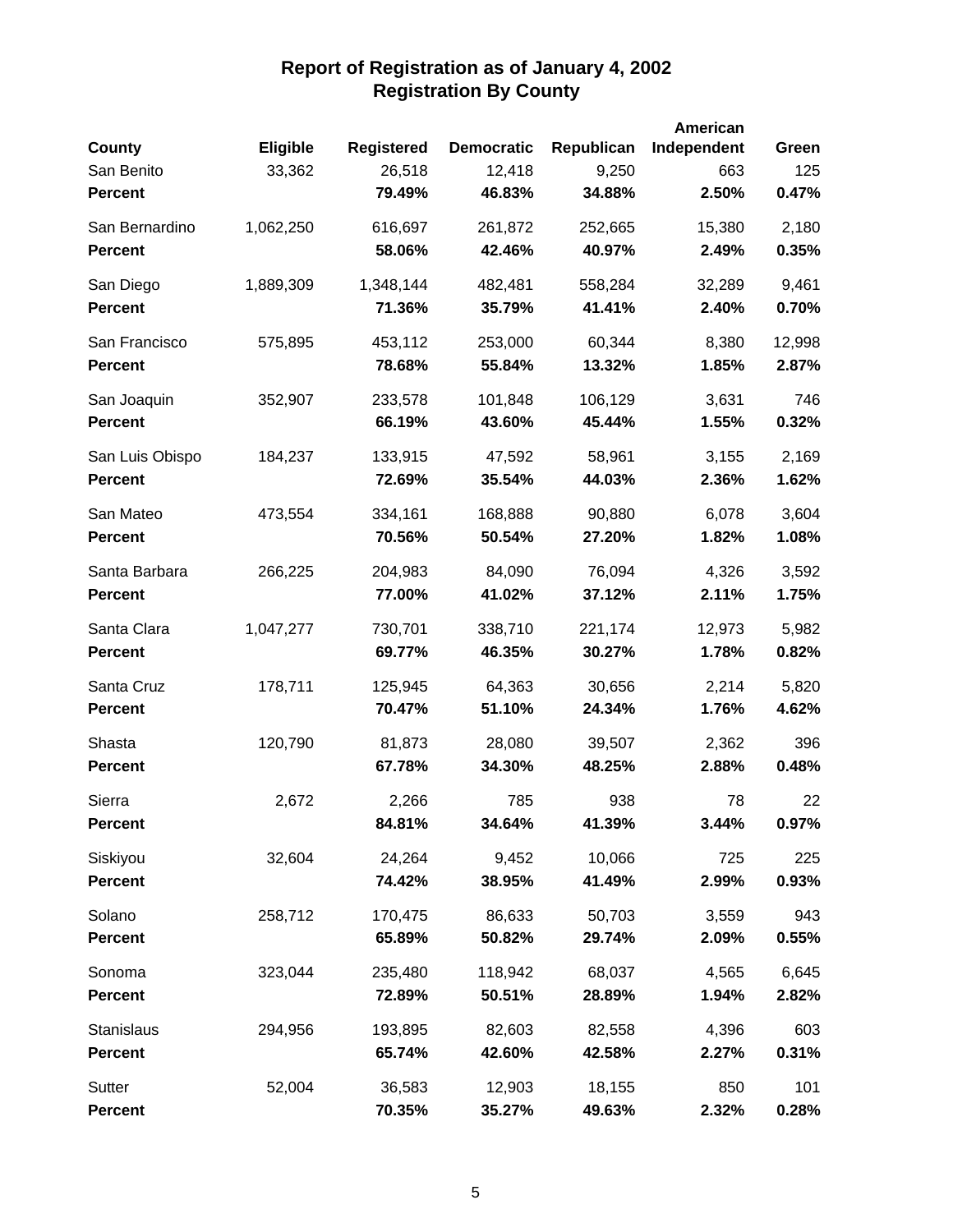|                 |           |                   |                   |            | American    |        |
|-----------------|-----------|-------------------|-------------------|------------|-------------|--------|
| County          | Eligible  | <b>Registered</b> | <b>Democratic</b> | Republican | Independent | Green  |
| San Benito      | 33,362    | 26,518            | 12,418            | 9,250      | 663         | 125    |
| <b>Percent</b>  |           | 79.49%            | 46.83%            | 34.88%     | 2.50%       | 0.47%  |
| San Bernardino  | 1,062,250 | 616,697           | 261,872           | 252,665    | 15,380      | 2,180  |
| <b>Percent</b>  |           | 58.06%            | 42.46%            | 40.97%     | 2.49%       | 0.35%  |
| San Diego       | 1,889,309 | 1,348,144         | 482,481           | 558,284    | 32,289      | 9,461  |
| <b>Percent</b>  |           | 71.36%            | 35.79%            | 41.41%     | 2.40%       | 0.70%  |
| San Francisco   | 575,895   | 453,112           | 253,000           | 60,344     | 8,380       | 12,998 |
| <b>Percent</b>  |           | 78.68%            | 55.84%            | 13.32%     | 1.85%       | 2.87%  |
| San Joaquin     | 352,907   | 233,578           | 101,848           | 106,129    | 3,631       | 746    |
| <b>Percent</b>  |           | 66.19%            | 43.60%            | 45.44%     | 1.55%       | 0.32%  |
| San Luis Obispo | 184,237   | 133,915           | 47,592            | 58,961     | 3,155       | 2,169  |
| <b>Percent</b>  |           | 72.69%            | 35.54%            | 44.03%     | 2.36%       | 1.62%  |
| San Mateo       | 473,554   | 334,161           | 168,888           | 90,880     | 6,078       | 3,604  |
| <b>Percent</b>  |           | 70.56%            | 50.54%            | 27.20%     | 1.82%       | 1.08%  |
| Santa Barbara   | 266,225   | 204,983           | 84,090            | 76,094     | 4,326       | 3,592  |
| <b>Percent</b>  |           | 77.00%            | 41.02%            | 37.12%     | 2.11%       | 1.75%  |
| Santa Clara     | 1,047,277 | 730,701           | 338,710           | 221,174    | 12,973      | 5,982  |
| <b>Percent</b>  |           | 69.77%            | 46.35%            | 30.27%     | 1.78%       | 0.82%  |
| Santa Cruz      | 178,711   | 125,945           | 64,363            | 30,656     | 2,214       | 5,820  |
| <b>Percent</b>  |           | 70.47%            | 51.10%            | 24.34%     | 1.76%       | 4.62%  |
| Shasta          | 120,790   | 81,873            | 28,080            | 39,507     | 2,362       | 396    |
| <b>Percent</b>  |           | 67.78%            | 34.30%            | 48.25%     | 2.88%       | 0.48%  |
| Sierra          | 2,672     | 2,266             | 785               | 938        | 78          | 22     |
| <b>Percent</b>  |           | 84.81%            | 34.64%            | 41.39%     | 3.44%       | 0.97%  |
| Siskiyou        | 32,604    | 24,264            | 9,452             | 10,066     | 725         | 225    |
| <b>Percent</b>  |           | 74.42%            | 38.95%            | 41.49%     | 2.99%       | 0.93%  |
| Solano          | 258,712   | 170,475           | 86,633            | 50,703     | 3,559       | 943    |
| <b>Percent</b>  |           | 65.89%            | 50.82%            | 29.74%     | 2.09%       | 0.55%  |
| Sonoma          | 323,044   | 235,480           | 118,942           | 68,037     | 4,565       | 6,645  |
| <b>Percent</b>  |           | 72.89%            | 50.51%            | 28.89%     | 1.94%       | 2.82%  |
| Stanislaus      | 294,956   | 193,895           | 82,603            | 82,558     | 4,396       | 603    |
| <b>Percent</b>  |           | 65.74%            | 42.60%            | 42.58%     | 2.27%       | 0.31%  |
| Sutter          | 52,004    | 36,583            | 12,903            | 18,155     | 850         | 101    |
| Percent         |           | 70.35%            | 35.27%            | 49.63%     | 2.32%       | 0.28%  |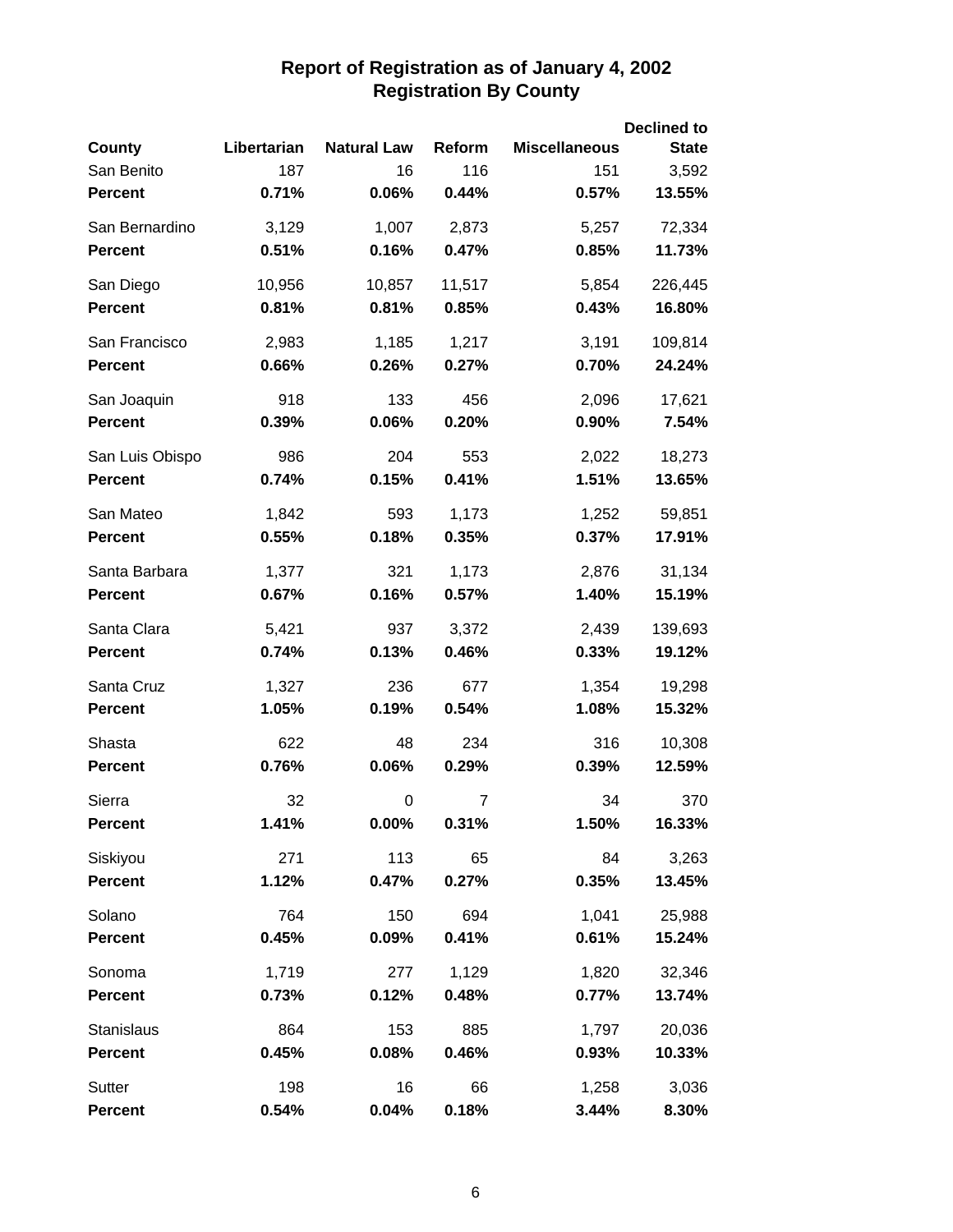|                 |             |                    |                |                      | <b>Declined to</b> |
|-----------------|-------------|--------------------|----------------|----------------------|--------------------|
| <b>County</b>   | Libertarian | <b>Natural Law</b> | Reform         | <b>Miscellaneous</b> | <b>State</b>       |
| San Benito      | 187         | 16                 | 116            | 151                  | 3,592              |
| <b>Percent</b>  | 0.71%       | 0.06%              | 0.44%          | 0.57%                | 13.55%             |
| San Bernardino  | 3,129       | 1,007              | 2,873          | 5,257                | 72,334             |
| <b>Percent</b>  | 0.51%       | 0.16%              | 0.47%          | 0.85%                | 11.73%             |
| San Diego       | 10,956      | 10,857             | 11,517         | 5,854                | 226,445            |
| <b>Percent</b>  | 0.81%       | 0.81%              | 0.85%          | 0.43%                | 16.80%             |
| San Francisco   | 2,983       | 1,185              | 1,217          | 3,191                | 109,814            |
| <b>Percent</b>  | 0.66%       | 0.26%              | 0.27%          | 0.70%                | 24.24%             |
| San Joaquin     | 918         | 133                | 456            | 2,096                | 17,621             |
| <b>Percent</b>  | 0.39%       | 0.06%              | 0.20%          | 0.90%                | 7.54%              |
| San Luis Obispo | 986         | 204                | 553            | 2,022                | 18,273             |
| <b>Percent</b>  | 0.74%       | 0.15%              | 0.41%          | 1.51%                | 13.65%             |
| San Mateo       | 1,842       | 593                | 1,173          | 1,252                | 59,851             |
| <b>Percent</b>  | 0.55%       | 0.18%              | 0.35%          | 0.37%                | 17.91%             |
| Santa Barbara   | 1,377       | 321                | 1,173          | 2,876                | 31,134             |
| <b>Percent</b>  | 0.67%       | 0.16%              | 0.57%          | 1.40%                | 15.19%             |
| Santa Clara     | 5,421       | 937                | 3,372          | 2,439                | 139,693            |
| <b>Percent</b>  | 0.74%       | 0.13%              | 0.46%          | 0.33%                | 19.12%             |
| Santa Cruz      | 1,327       | 236                | 677            | 1,354                | 19,298             |
| <b>Percent</b>  | 1.05%       | 0.19%              | 0.54%          | 1.08%                | 15.32%             |
| Shasta          | 622         | 48                 | 234            | 316                  | 10,308             |
| <b>Percent</b>  | 0.76%       | 0.06%              | 0.29%          | 0.39%                | 12.59%             |
| Sierra          | 32          | 0                  | $\overline{7}$ | 34                   | 370                |
| <b>Percent</b>  | 1.41%       | $0.00\%$           | 0.31%          | 1.50%                | 16.33%             |
| Siskiyou        | 271         | 113                | 65             | 84                   | 3,263              |
| <b>Percent</b>  | 1.12%       | 0.47%              | 0.27%          | 0.35%                | 13.45%             |
| Solano          | 764         | 150                | 694            | 1,041                | 25,988             |
| <b>Percent</b>  | 0.45%       | 0.09%              | 0.41%          | 0.61%                | 15.24%             |
| Sonoma          | 1,719       | 277                | 1,129          | 1,820                | 32,346             |
| <b>Percent</b>  | 0.73%       | 0.12%              | 0.48%          | 0.77%                | 13.74%             |
| Stanislaus      | 864         | 153                | 885            | 1,797                | 20,036             |
| <b>Percent</b>  | 0.45%       | 0.08%              | 0.46%          | 0.93%                | 10.33%             |
| Sutter          | 198         | 16                 | 66             | 1,258                | 3,036              |
| <b>Percent</b>  | 0.54%       | 0.04%              | 0.18%          | 3.44%                | 8.30%              |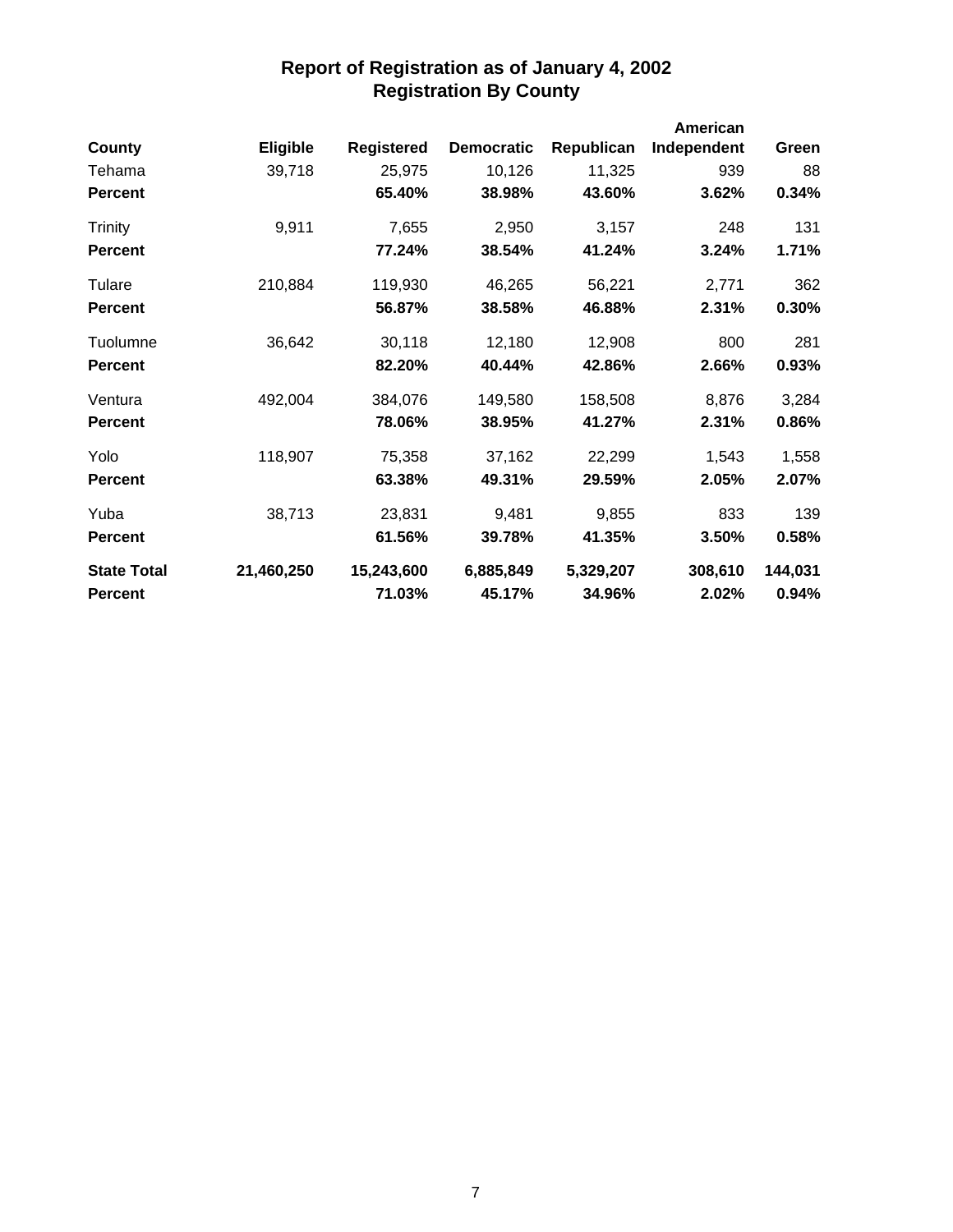|                    |            |                   |                   |            | American    |         |
|--------------------|------------|-------------------|-------------------|------------|-------------|---------|
| County             | Eligible   | <b>Registered</b> | <b>Democratic</b> | Republican | Independent | Green   |
| Tehama             | 39,718     | 25,975            | 10,126            | 11,325     | 939         | 88      |
| <b>Percent</b>     |            | 65.40%            | 38.98%            | 43.60%     | 3.62%       | 0.34%   |
| <b>Trinity</b>     | 9,911      | 7,655             | 2,950             | 3,157      | 248         | 131     |
| <b>Percent</b>     |            | 77.24%            | 38.54%            | 41.24%     | 3.24%       | 1.71%   |
| Tulare             | 210,884    | 119,930           | 46,265            | 56,221     | 2,771       | 362     |
| <b>Percent</b>     |            | 56.87%            | 38.58%            | 46.88%     | 2.31%       | 0.30%   |
| Tuolumne           | 36,642     | 30,118            | 12,180            | 12,908     | 800         | 281     |
| <b>Percent</b>     |            | 82.20%            | 40.44%            | 42.86%     | 2.66%       | 0.93%   |
| Ventura            | 492,004    | 384,076           | 149,580           | 158,508    | 8,876       | 3,284   |
| <b>Percent</b>     |            | 78.06%            | 38.95%            | 41.27%     | 2.31%       | 0.86%   |
| Yolo               | 118,907    | 75,358            | 37,162            | 22,299     | 1,543       | 1,558   |
| <b>Percent</b>     |            | 63.38%            | 49.31%            | 29.59%     | 2.05%       | 2.07%   |
| Yuba               | 38,713     | 23,831            | 9,481             | 9,855      | 833         | 139     |
| <b>Percent</b>     |            | 61.56%            | 39.78%            | 41.35%     | 3.50%       | 0.58%   |
| <b>State Total</b> | 21,460,250 | 15,243,600        | 6,885,849         | 5,329,207  | 308,610     | 144,031 |
| <b>Percent</b>     |            | 71.03%            | 45.17%            | 34.96%     | 2.02%       | 0.94%   |